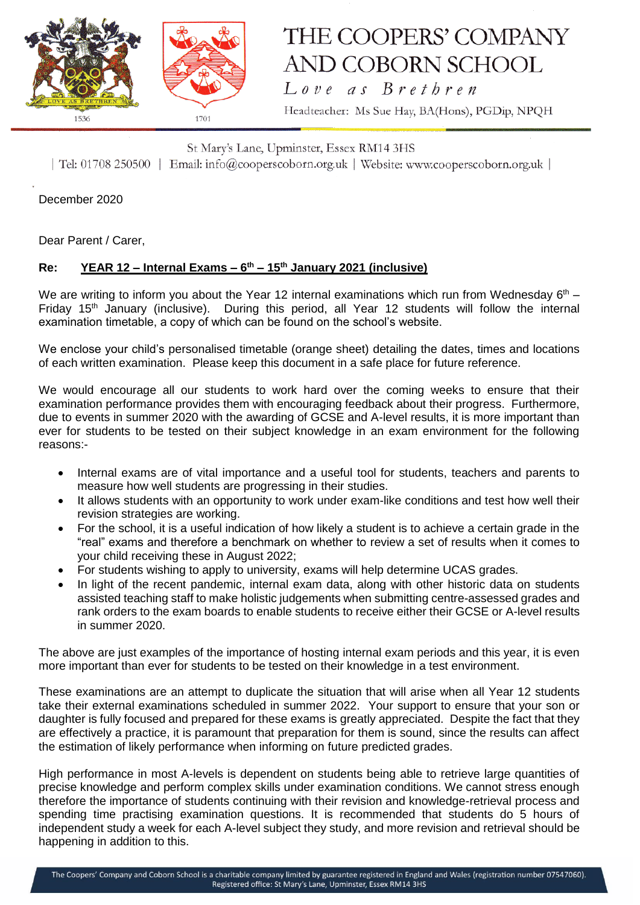

## THE COOPERS' COMPANY AND COBORN SCHOOL  $L$  ove as  $B$  rethren

Headteacher: Ms Sue Hay, BA(Hons), PGDip, NPQH

St Mary's Lane, Upminster, Essex RM14 3HS | Tel: 01708 250500 | Email: info@cooperscoborn.org.uk | Website: www.cooperscoborn.org.uk |

December 2020

Dear Parent / Carer,

### **Re: YEAR 12 – Internal Exams – 6 th – 15th January 2021 (inclusive)**

We are writing to inform you about the Year 12 internal examinations which run from Wednesday  $6<sup>th</sup>$  – Friday 15<sup>th</sup> January (inclusive). During this period, all Year 12 students will follow the internal examination timetable, a copy of which can be found on the school's website.

We enclose your child's personalised timetable (orange sheet) detailing the dates, times and locations of each written examination. Please keep this document in a safe place for future reference.

We would encourage all our students to work hard over the coming weeks to ensure that their examination performance provides them with encouraging feedback about their progress. Furthermore, due to events in summer 2020 with the awarding of GCSE and A-level results, it is more important than ever for students to be tested on their subject knowledge in an exam environment for the following reasons:-

- Internal exams are of vital importance and a useful tool for students, teachers and parents to measure how well students are progressing in their studies.
- It allows students with an opportunity to work under exam-like conditions and test how well their revision strategies are working.
- For the school, it is a useful indication of how likely a student is to achieve a certain grade in the "real" exams and therefore a benchmark on whether to review a set of results when it comes to your child receiving these in August 2022;
- For students wishing to apply to university, exams will help determine UCAS grades.
- In light of the recent pandemic, internal exam data, along with other historic data on students assisted teaching staff to make holistic judgements when submitting centre-assessed grades and rank orders to the exam boards to enable students to receive either their GCSE or A-level results in summer 2020.

The above are just examples of the importance of hosting internal exam periods and this year, it is even more important than ever for students to be tested on their knowledge in a test environment.

These examinations are an attempt to duplicate the situation that will arise when all Year 12 students take their external examinations scheduled in summer 2022. Your support to ensure that your son or daughter is fully focused and prepared for these exams is greatly appreciated. Despite the fact that they are effectively a practice, it is paramount that preparation for them is sound, since the results can affect the estimation of likely performance when informing on future predicted grades.

High performance in most A-levels is dependent on students being able to retrieve large quantities of precise knowledge and perform complex skills under examination conditions. We cannot stress enough therefore the importance of students continuing with their revision and knowledge-retrieval process and spending time practising examination questions. It is recommended that students do 5 hours of independent study a week for each A-level subject they study, and more revision and retrieval should be happening in addition to this.